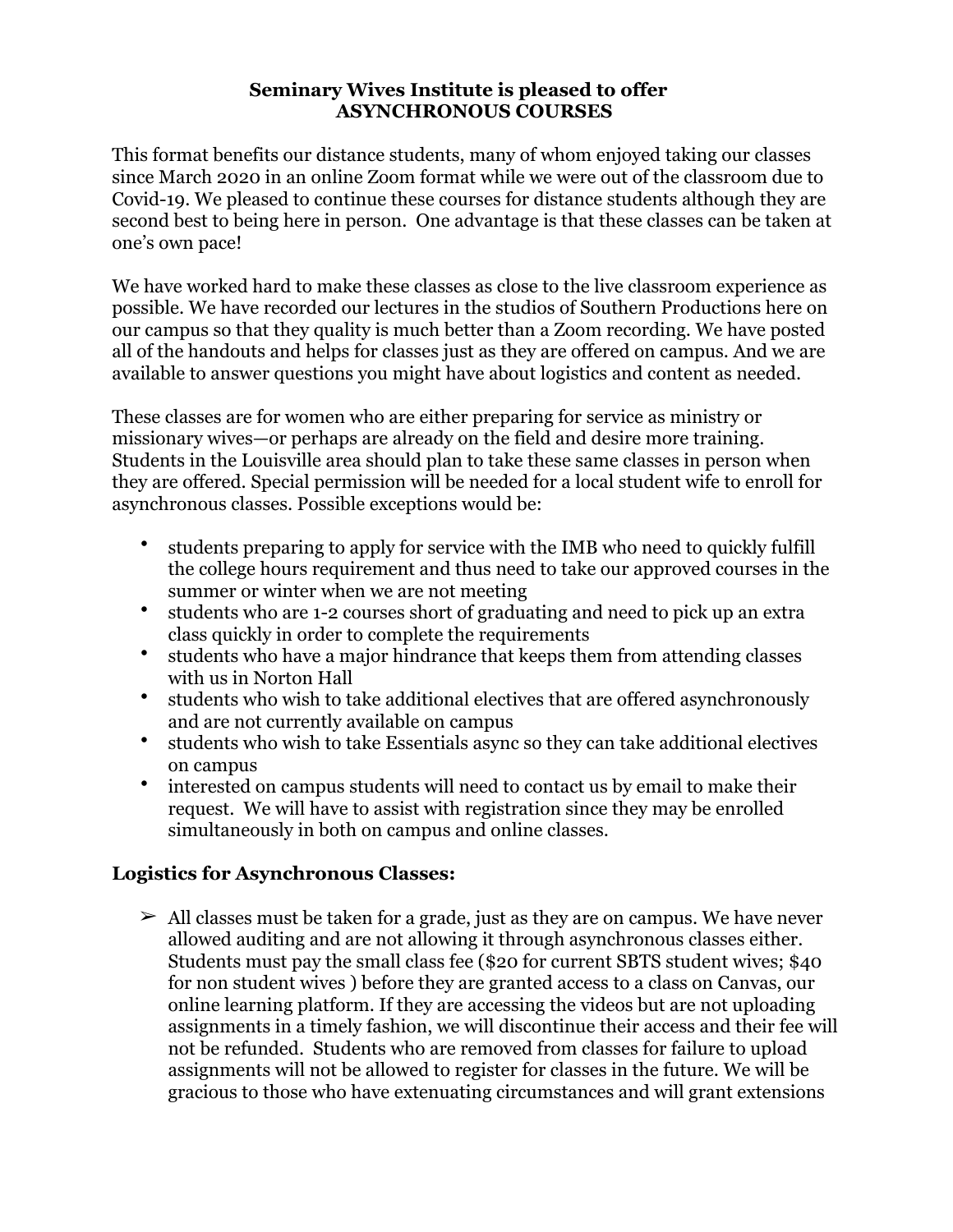## **Seminary Wives Institute is pleased to offer ASYNCHRONOUS COURSES**

This format benefits our distance students, many of whom enjoyed taking our classes since March 2020 in an online Zoom format while we were out of the classroom due to Covid-19. We pleased to continue these courses for distance students although they are second best to being here in person. One advantage is that these classes can be taken at one's own pace!

We have worked hard to make these classes as close to the live classroom experience as possible. We have recorded our lectures in the studios of Southern Productions here on our campus so that they quality is much better than a Zoom recording. We have posted all of the handouts and helps for classes just as they are offered on campus. And we are available to answer questions you might have about logistics and content as needed.

These classes are for women who are either preparing for service as ministry or missionary wives—or perhaps are already on the field and desire more training. Students in the Louisville area should plan to take these same classes in person when they are offered. Special permission will be needed for a local student wife to enroll for asynchronous classes. Possible exceptions would be:

- students preparing to apply for service with the IMB who need to quickly fulfill the college hours requirement and thus need to take our approved courses in the summer or winter when we are not meeting
- students who are 1-2 courses short of graduating and need to pick up an extra class quickly in order to complete the requirements
- students who have a major hindrance that keeps them from attending classes with us in Norton Hall
- students who wish to take additional electives that are offered asynchronously and are not currently available on campus
- students who wish to take Essentials async so they can take additional electives on campus
- interested on campus students will need to contact us by email to make their request. We will have to assist with registration since they may be enrolled simultaneously in both on campus and online classes.

# **Logistics for Asynchronous Classes:**

 $\geq$  All classes must be taken for a grade, just as they are on campus. We have never allowed auditing and are not allowing it through asynchronous classes either. Students must pay the small class fee (\$20 for current SBTS student wives; \$40 for non student wives ) before they are granted access to a class on Canvas, our online learning platform. If they are accessing the videos but are not uploading assignments in a timely fashion, we will discontinue their access and their fee will not be refunded. Students who are removed from classes for failure to upload assignments will not be allowed to register for classes in the future. We will be gracious to those who have extenuating circumstances and will grant extensions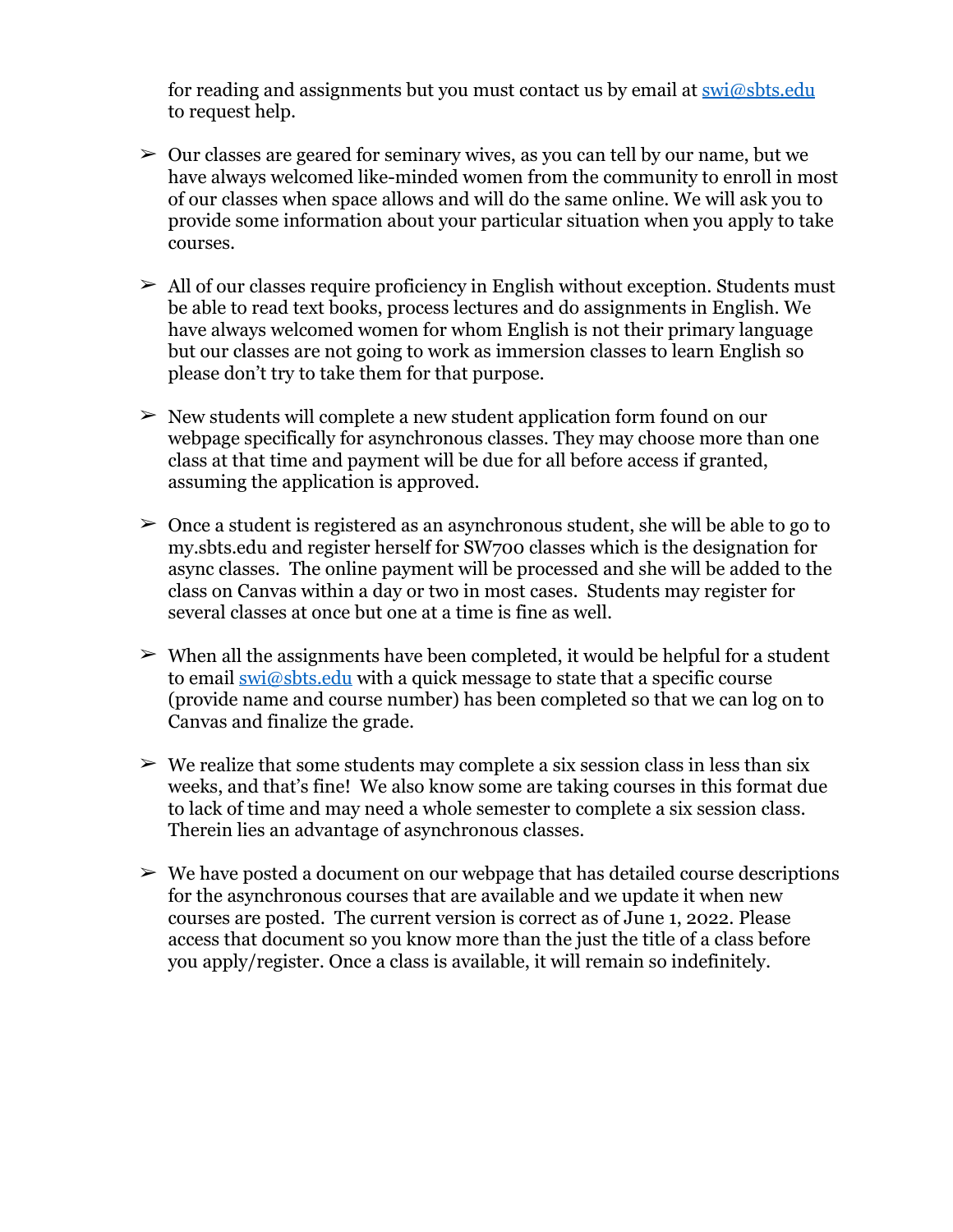for reading and assignments but you must contact us by email at  $\frac{\text{swi}\textcircled{a} \text{s} \text{b} \text{t} \text{s} \text{d} \text{u}}{n}$ to request help.

- $\geq 0$ ur classes are geared for seminary wives, as you can tell by our name, but we have always welcomed like-minded women from the community to enroll in most of our classes when space allows and will do the same online. We will ask you to provide some information about your particular situation when you apply to take courses.
- $\geq$  All of our classes require proficiency in English without exception. Students must be able to read text books, process lectures and do assignments in English. We have always welcomed women for whom English is not their primary language but our classes are not going to work as immersion classes to learn English so please don't try to take them for that purpose.
- $\geq$  New students will complete a new student application form found on our webpage specifically for asynchronous classes. They may choose more than one class at that time and payment will be due for all before access if granted, assuming the application is approved.
- $\geq 0$  Once a student is registered as an asynchronous student, she will be able to go to my.sbts.edu and register herself for SW700 classes which is the designation for async classes. The online payment will be processed and she will be added to the class on Canvas within a day or two in most cases. Students may register for several classes at once but one at a time is fine as well.
- $\triangleright$  When all the assignments have been completed, it would be helpful for a student to email  $\frac{\text{swi}\text{@sbts.edu}}{\text{with a quick message to state that a specific course}}$ (provide name and course number) has been completed so that we can log on to Canvas and finalize the grade.
- $\triangleright$  We realize that some students may complete a six session class in less than six weeks, and that's fine! We also know some are taking courses in this format due to lack of time and may need a whole semester to complete a six session class. Therein lies an advantage of asynchronous classes.
- $\triangleright$  We have posted a document on our webpage that has detailed course descriptions for the asynchronous courses that are available and we update it when new courses are posted. The current version is correct as of June 1, 2022. Please access that document so you know more than the just the title of a class before you apply/register. Once a class is available, it will remain so indefinitely.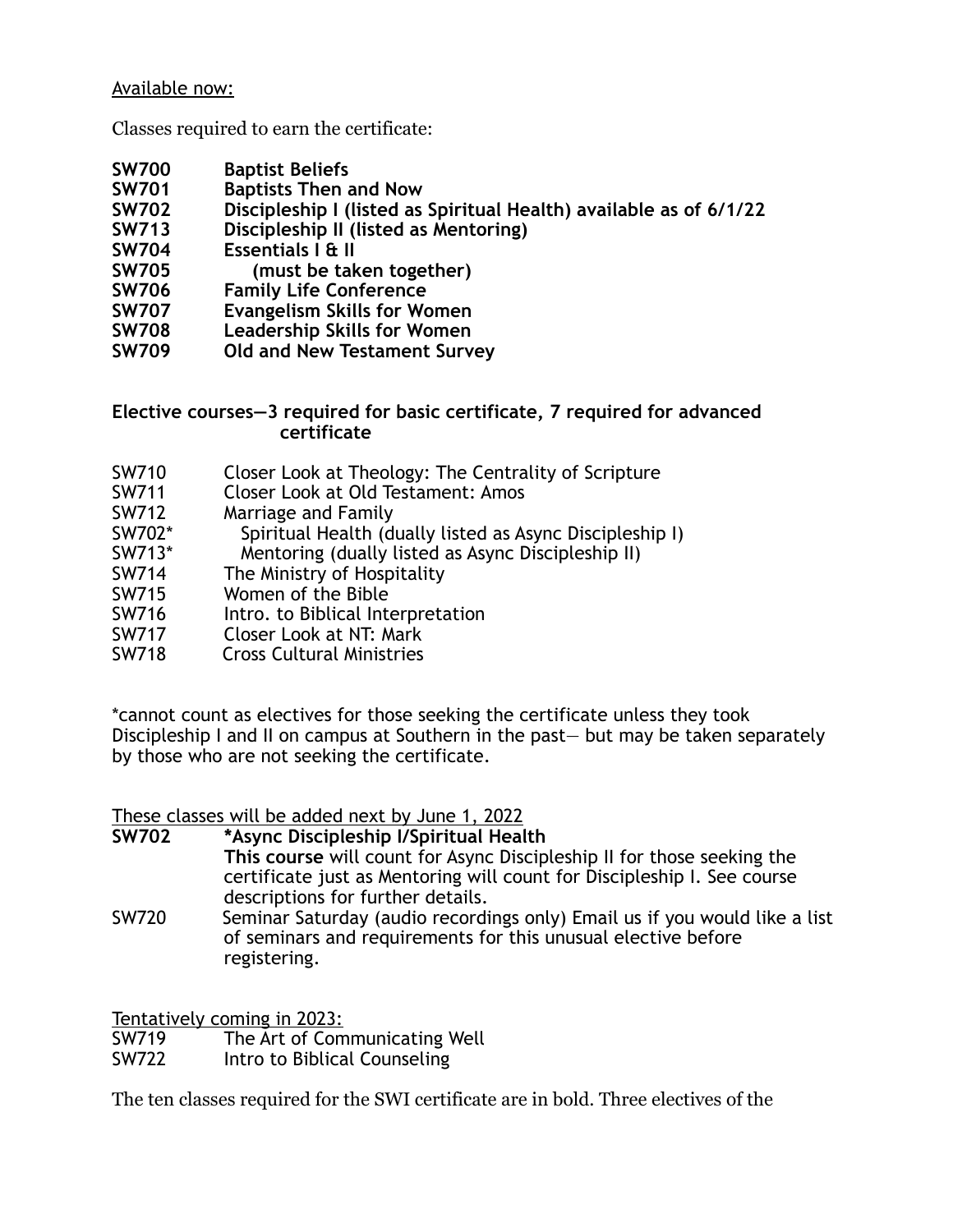### Available now:

Classes required to earn the certificate:

- **SW700 Baptist Beliefs**
- **Baptists Then and Now**
- **SW702 Discipleship I (listed as Spiritual Health) available as of 6/1/22**
- **SW713 Discipleship II (listed as Mentoring)**
- **SW704 Essentials I & II**
- (must be taken together)
- **SW706 Family Life Conference**
- **SW707 Evangelism Skills for Women**
- **SW708 Leadership Skills for Women**
- **SW709 Old and New Testament Survey**

#### **Elective courses—3 required for basic certificate, 7 required for advanced certificate**

- SW710 Closer Look at Theology: The Centrality of Scripture
- SW711 Closer Look at Old Testament: Amos<br>SW712 Marriage and Family
- Marriage and Family
- SW702\* Spiritual Health (dually listed as Async Discipleship I)
- SW713\* Mentoring (dually listed as Async Discipleship II)<br>SW714 The Ministry of Hospitality
- The Ministry of Hospitality
- SW715 Women of the Bible
- SW716 Intro. to Biblical Interpretation
- SW717 Closer Look at NT: Mark
- SW718 Cross Cultural Ministries

\*cannot count as electives for those seeking the certificate unless they took Discipleship I and II on campus at Southern in the past— but may be taken separately by those who are not seeking the certificate.

These classes will be added next by June 1, 2022

### **SW702 \*Async Discipleship I/Spiritual Health**

- **This course** will count for Async Discipleship II for those seeking the certificate just as Mentoring will count for Discipleship I. See course descriptions for further details.
- SW720 Seminar Saturday (audio recordings only) Email us if you would like a list of seminars and requirements for this unusual elective before registering.

Tentatively coming in 2023:

SW719 The Art of Communicating Well<br>SW722 Intro to Biblical Counseling

Intro to Biblical Counseling

The ten classes required for the SWI certificate are in bold. Three electives of the